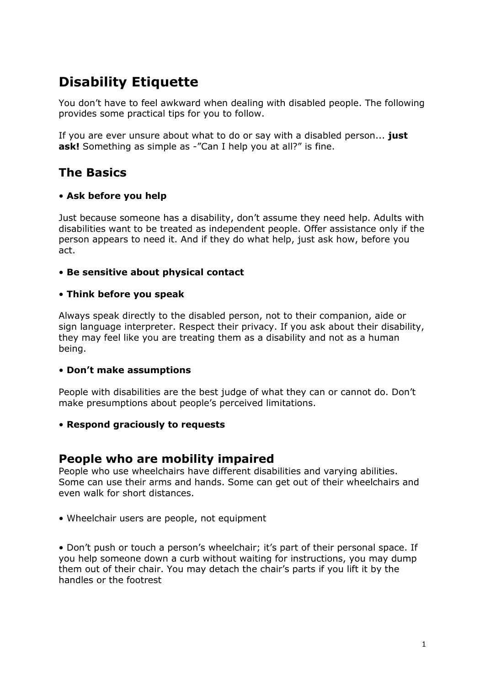# **Disability Etiquette**

You don't have to feel awkward when dealing with disabled people. The following provides some practical tips for you to follow.

If you are ever unsure about what to do or say with a disabled person... **just ask!** Something as simple as -"Can I help you at all?" is fine.

### **The Basics**

#### • **Ask before you help**

Just because someone has a disability, don't assume they need help. Adults with disabilities want to be treated as independent people. Offer assistance only if the person appears to need it. And if they do what help, just ask how, before you act.

#### • **Be sensitive about physical contact**

#### • **Think before you speak**

Always speak directly to the disabled person, not to their companion, aide or sign language interpreter. Respect their privacy. If you ask about their disability, they may feel like you are treating them as a disability and not as a human being.

#### • **Don't make assumptions**

People with disabilities are the best judge of what they can or cannot do. Don't make presumptions about people's perceived limitations.

#### • **Respond graciously to requests**

### **People who are mobility impaired**

People who use wheelchairs have different disabilities and varying abilities. Some can use their arms and hands. Some can get out of their wheelchairs and even walk for short distances.

• Wheelchair users are people, not equipment

• Don't push or touch a person's wheelchair; it's part of their personal space. If you help someone down a curb without waiting for instructions, you may dump them out of their chair. You may detach the chair's parts if you lift it by the handles or the footrest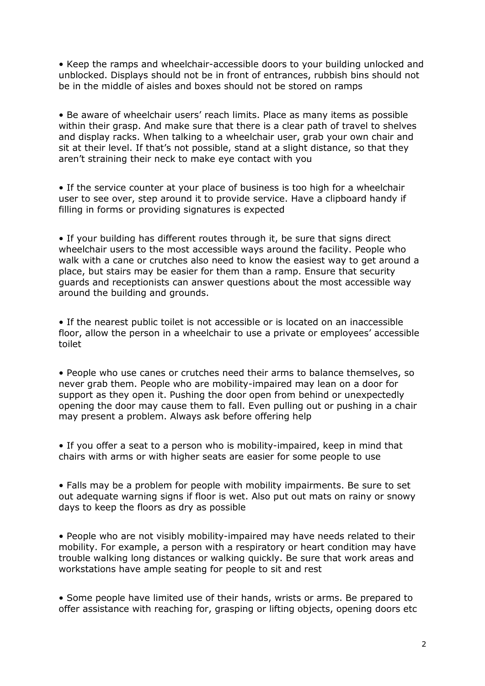• Keep the ramps and wheelchair-accessible doors to your building unlocked and unblocked. Displays should not be in front of entrances, rubbish bins should not be in the middle of aisles and boxes should not be stored on ramps

• Be aware of wheelchair users' reach limits. Place as many items as possible within their grasp. And make sure that there is a clear path of travel to shelves and display racks. When talking to a wheelchair user, grab your own chair and sit at their level. If that's not possible, stand at a slight distance, so that they aren't straining their neck to make eye contact with you

• If the service counter at your place of business is too high for a wheelchair user to see over, step around it to provide service. Have a clipboard handy if filling in forms or providing signatures is expected

• If your building has different routes through it, be sure that signs direct wheelchair users to the most accessible ways around the facility. People who walk with a cane or crutches also need to know the easiest way to get around a place, but stairs may be easier for them than a ramp. Ensure that security guards and receptionists can answer questions about the most accessible way around the building and grounds.

• If the nearest public toilet is not accessible or is located on an inaccessible floor, allow the person in a wheelchair to use a private or employees' accessible toilet

• People who use canes or crutches need their arms to balance themselves, so never grab them. People who are mobility-impaired may lean on a door for support as they open it. Pushing the door open from behind or unexpectedly opening the door may cause them to fall. Even pulling out or pushing in a chair may present a problem. Always ask before offering help

• If you offer a seat to a person who is mobility-impaired, keep in mind that chairs with arms or with higher seats are easier for some people to use

• Falls may be a problem for people with mobility impairments. Be sure to set out adequate warning signs if floor is wet. Also put out mats on rainy or snowy days to keep the floors as dry as possible

• People who are not visibly mobility-impaired may have needs related to their mobility. For example, a person with a respiratory or heart condition may have trouble walking long distances or walking quickly. Be sure that work areas and workstations have ample seating for people to sit and rest

• Some people have limited use of their hands, wrists or arms. Be prepared to offer assistance with reaching for, grasping or lifting objects, opening doors etc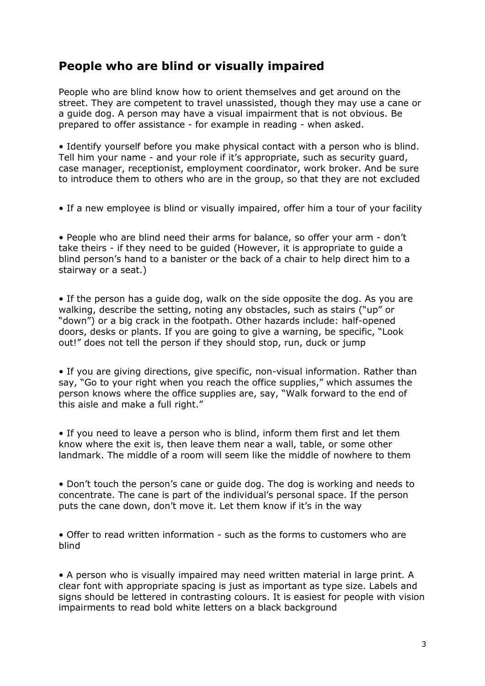## **People who are blind or visually impaired**

People who are blind know how to orient themselves and get around on the street. They are competent to travel unassisted, though they may use a cane or a guide dog. A person may have a visual impairment that is not obvious. Be prepared to offer assistance - for example in reading - when asked.

• Identify yourself before you make physical contact with a person who is blind. Tell him your name - and your role if it's appropriate, such as security guard, case manager, receptionist, employment coordinator, work broker. And be sure to introduce them to others who are in the group, so that they are not excluded

• If a new employee is blind or visually impaired, offer him a tour of your facility

• People who are blind need their arms for balance, so offer your arm - don't take theirs - if they need to be guided (However, it is appropriate to guide a blind person's hand to a banister or the back of a chair to help direct him to a stairway or a seat.)

• If the person has a guide dog, walk on the side opposite the dog. As you are walking, describe the setting, noting any obstacles, such as stairs ("up" or "down") or a big crack in the footpath. Other hazards include: half-opened doors, desks or plants. If you are going to give a warning, be specific, "Look out!" does not tell the person if they should stop, run, duck or jump

• If you are giving directions, give specific, non-visual information. Rather than say, "Go to your right when you reach the office supplies," which assumes the person knows where the office supplies are, say, "Walk forward to the end of this aisle and make a full right."

• If you need to leave a person who is blind, inform them first and let them know where the exit is, then leave them near a wall, table, or some other landmark. The middle of a room will seem like the middle of nowhere to them

• Don't touch the person's cane or guide dog. The dog is working and needs to concentrate. The cane is part of the individual's personal space. If the person puts the cane down, don't move it. Let them know if it's in the way

• Offer to read written information - such as the forms to customers who are blind

• A person who is visually impaired may need written material in large print. A clear font with appropriate spacing is just as important as type size. Labels and signs should be lettered in contrasting colours. It is easiest for people with vision impairments to read bold white letters on a black background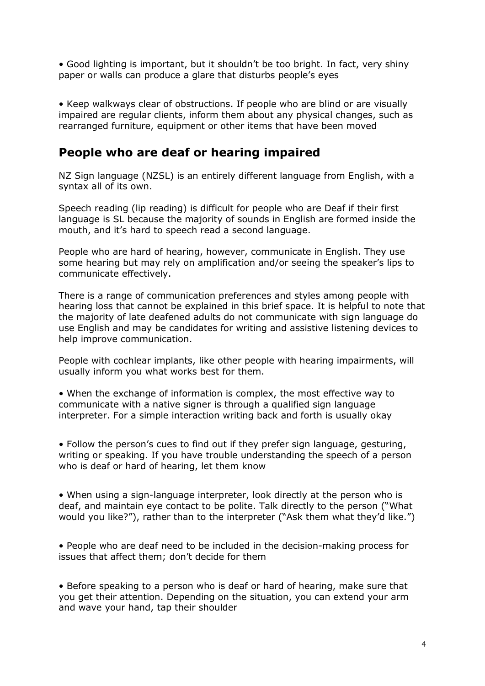• Good lighting is important, but it shouldn't be too bright. In fact, very shiny paper or walls can produce a glare that disturbs people's eyes

• Keep walkways clear of obstructions. If people who are blind or are visually impaired are regular clients, inform them about any physical changes, such as rearranged furniture, equipment or other items that have been moved

### **People who are deaf or hearing impaired**

NZ Sign language (NZSL) is an entirely different language from English, with a syntax all of its own.

Speech reading (lip reading) is difficult for people who are Deaf if their first language is SL because the majority of sounds in English are formed inside the mouth, and it's hard to speech read a second language.

People who are hard of hearing, however, communicate in English. They use some hearing but may rely on amplification and/or seeing the speaker's lips to communicate effectively.

There is a range of communication preferences and styles among people with hearing loss that cannot be explained in this brief space. It is helpful to note that the majority of late deafened adults do not communicate with sign language do use English and may be candidates for writing and assistive listening devices to help improve communication.

People with cochlear implants, like other people with hearing impairments, will usually inform you what works best for them.

• When the exchange of information is complex, the most effective way to communicate with a native signer is through a qualified sign language interpreter. For a simple interaction writing back and forth is usually okay

• Follow the person's cues to find out if they prefer sign language, gesturing, writing or speaking. If you have trouble understanding the speech of a person who is deaf or hard of hearing, let them know

• When using a sign-language interpreter, look directly at the person who is deaf, and maintain eye contact to be polite. Talk directly to the person ("What would you like?"), rather than to the interpreter ("Ask them what they'd like.")

• People who are deaf need to be included in the decision-making process for issues that affect them; don't decide for them

• Before speaking to a person who is deaf or hard of hearing, make sure that you get their attention. Depending on the situation, you can extend your arm and wave your hand, tap their shoulder